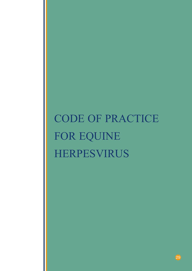# CODE OF PRACTICE FOR EQUINE HERPESVIRUS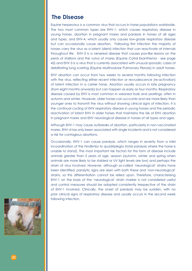## **The Disease**

Equine herpesvirus is a common virus that occurs in horse populations worldwide. The two most common types are EHV-1, which causes respiratory disease in young horses, abortion in pregnant mares and paralysis in horses of all ages and types, and EHV-4, which usually only causes low-grade respiratory disease but can occasionally cause abortion. Following first infection the majority of horses carry the virus as a latent (silent) infection that can reactivate at intervals throughout life. EHV-3 is a venereal disease that causes pox-like lesions on the penis of stallions and the vulva of mares (Equine Coital Exanthema - see page 45) and EHV-5 is a virus that is currently associated with unusual sporadic cases of debilitating lung scarring (Equine Multinodular Pulmonary Fibrosis) in adult horses.

EHV abortion can occur from two weeks to several months following infection with the virus, reflecting either recent infection or recrudescence (re-activation) of latent infection in a carrier horse. Abortion usually occurs in late pregnancy (from eight months onwards) but can happen as early as four months. Respiratory disease caused by EHV is most common in weaned foals and yearlings, often in autumn and winter. However, older horses can succumb and are more likely than younger ones to transmit the virus without showing clinical signs of infection. It is the continual cycling of EHV respiratory disease in young horses and the periodic reactivation of latent EHV in older horses that maintains the risk of EHV abortion in pregnant mares and EHV neurological disease in horses of all types and ages.

Although EHV-1 may cause outbreaks of abortion, particularly in non-vaccinated mares, EHV-4 has only been associated with single incidents and is not considered a risk for contagious abortions.

Occasionally, EHV-1 can cause paralysis, which ranges in severity from a mild incoordination of the hindlimbs to quadriplegia (total paralysis where the horse is unable to stand). The most important risk factors for this form of disease include animals greater than 5 years of age, season (autumn, winter and spring when animals are more likely to be stabled or UV light levels are low) and perhaps the strain of virus involved. However, although so-called 'neurological' strains have been identified, paralytic signs are seen with both these and 'non-neurological' strains, so this differentiation cannot be relied upon. Therefore, characterising EHV-1 on the basis of the 'neurological' strain marker is not considered useful and control measures should be adopted consistently irrespective of the strain of EHV-1 involved. Clinically, the onset of paralysis may be sudden, with no prior clinical signs of respiratory disease and usually occurs in the second week following infection.

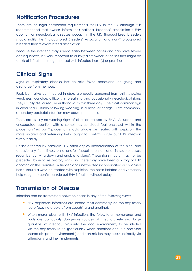# **Notification Procedures**

There are no legal notification requirements for EHV in the UK although it is recommended that owners inform their national breeders' association if EHV abortion or neurological diseases occur. In the UK, Thoroughbred breeders should notify the Thoroughbred Breeders' Association and non-Thoroughbred breeders their relevant breed association.

Because the infection may spread easily between horses and can have severe consequences, it is very important to quickly alert owners of horses that might be at risk of infection through contact with infected horse(s) or premises.

# **Clinical Signs**

Signs of respiratory disease include mild fever, occasional coughing and discharge from the nose.

Foals born alive but infected in *utero* are usually abnormal from birth, showing weakness, jaundice, difficulty in breathing and occasionally neurological signs. They usually die, or require euthanasia, within three days. The most common sign in older foals, usually following weaning, is a nasal discharge. Less commonly, secondary bacterial infection may cause pneumonia.

There are usually no warning signs of abortion caused by EHV. A sudden and unexpected abortion with a sometimes-jaundiced foal enclosed within the placenta ("red bag" placenta), should always be treated with suspicion, the mare isolated and veterinary help sought to confirm or rule out EHV infection without delay.

Horses affected by paralytic EHV often display incoordination of the hind, and occasionally front limbs, urine and/or faecal retention and, in severe cases, recumbency (lying down and unable to stand). These signs may or may not be preceded by initial respiratory signs and there may have been a history of EHV abortion on the premises. A sudden and unexpected incoordinated or collapsed horse should always be treated with suspicion, the horse isolated and veterinary help sought to confirm or rule out EHV infection without delay.

## **Transmission of Disease**

Infection can be transmitted between horses in any of the following ways:

- EHV respiratory infections are spread most commonly via the respiratory route (e.g. via droplets from coughing and snorting);
- When mares abort with EHV infection, the fetus, fetal membranes and fluids are particularly dangerous sources of infection, releasing large quantities of infectious virus into the local environment, to be inhaled via the respiratory route (particularly when abortions occur in enclosed shared air space environments) and transmission may occur indirectly via attendants and their implements;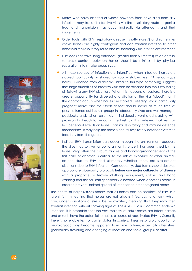

- Older foals with EHV respiratory disease ('snotty noses') and sometimes ataxic horses are highly contagious and can transmit infection to other horses via the respiratory route and by shedding virus into the environment;
- EHV does not travel long distances (greater than 50 metres) as an aerosol so close contact between horses should be minimised by physical separation into smaller group sizes;
- All these sources of infection are intensified when infected horses are stabled, particularly in shared air space stables, e.g. 'American-type barns'. Evidence from outbreaks linked to this type of stabling suggests that large quantities of infective virus can be released into the surrounding air following any EHV abortion. When this happens at pasture, there is a greater opportunity for dispersal and dilution of the viral 'cloud' than if the abortion occurs when horses are stabled. Breeding stock, particularly pregnant mares and their foals at foot should spend as much time as possible turned out in small groups in adequately sized and well managed paddocks and, when essential, in individually ventilated stabling with provision for heads to be out in the fresh air. It is believed that fresh air has beneficial effects on horses' natural respiratory and immune defence mechanisms. It may help the horse's natural respiratory defence system to feed hay from the ground;
- Indirect EHV transmission can occur through the environment because the virus may survive for up to a month, once it has been shed by the horse. Very often the circumstances and handling/management of the first case of abortion is critical to the risk of exposure of other animals on the stud to EHV and ultimately whether there are subsequent abortions due to EHV infection. Consequently, stud farms should develop appropriate biosecurity protocols **before any major outbreaks of disease** with appropriate protective clothing, equipment, utilities and hand washing facilities for staff specifically allocated when abortions occur, in order to prevent indirect spread of infection to other pregnant mares.

The nature of herpesviruses means that all horses can be 'carriers' of EHV in a latent form (meaning that horses are not always infectious to others), which can, under conditions of stress, be reactivated, meaning that they may then transmit infection without showing signs of illness. As EHV is a common endemic infection, it is probable that the vast majority of adult horses are latent carriers and as such have the potential to act as a source of reactivated EHV-1. Currently there is no reliable test for carrier status. In carriers, illness (respiratory, abortion or neurological) may become apparent from time to time, especially after stress (particularly travelling and changing of location and social groups) or after



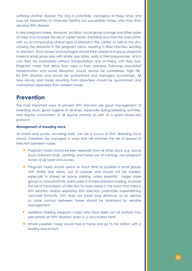suffering another disease. The virus is potentially contagious at these times and may be transmitted to otherwise healthy but susceptible horses, who may then develop EHV disease.

In late pregnant mares, transport, location, social group change and other types of stress may increase the risk of carrier horses, shedding virus from the nose (often with no accompanying clinical signs of disease in the carrier) as well as the virus crossing the placenta in the pregnant uterus, resulting in fetal infection, leading to abortion. Stud owners and managers should think ahead and group pregnant mares in small group sizes with similar due dates, early in their pregnancies, which can then be maintained without transportation and re-mixing until they foal. Pregnant mares that arrive from sales or from overseas, following associated transportation and social disruption, should always be considered 'high risk' for EHV abortion and should be quarantined and managed accordingly. All new arrivals and horses returning from elsewhere should be quarantined and maintained separately from resident horses.

# **Prevention**

The most important ways to prevent EHV infection are good management of breeding stock, good hygiene at all times, especially during breeding activities, and regular vaccination of all equine animals as part of a good biosecurity protocol.

## **Management of breeding stock**

All horses and ponies, including foals, can be a source of EHV. Breeding stock should, therefore, be managed in ways that will minimise the risk of spread of infection between horses:

- Pregnant mares should be kept separate from all other stock, e.g. young stock (weaned foals, yearlings and horses out of training), non-pregnant horses of all types and ponies;
- Pregnant mares should spend as much time as possible in small groups with similar due dates, out at pasture and should not be stabled, especially in shared air space stabling, unless essential. Larger mare groups in close proximity, particularly in shared airspace stabling, increase the risk of transmission of infection to more mares in the event that there is EHV abortion and/or respiratory EHV infection, potentially overwhelming vaccinial immunity. EHV does not travel long distances as an aerosol so close contact between horses should be minimised by sensible management;
- Suddenly stabling pregnant mares who have been out at pasture may precipitate an EHV abortion, even in a vaccinated herd;
- Where possible, mares should foal at home and go to the stallion with a healthy foal at foot;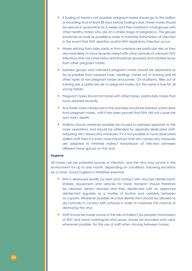- If foaling at home is not possible, pregnant mares should go to the stallion or boarding stud at least 28 days before foaling is due. These mares should be placed in quarantine for 2 weeks and then isolated in small groups with other healthy mares who are at a similar stage of pregnancy. The groups should be as small as possible in order to minimise transmission of infection in the event that EHV abortion and/or EHV respiratory infection occur;
- Mares arriving from sales yards or from overseas are particular risks as they are more likely to have recently mixed with other animals of unknown EHV infectious and vaccinial status and should be grouped and isolated away from other pregnant mares;
- Isolated groups and individual pregnant mares should be separated as far as possible from weaned foals, yearlings, horses out of training and all other types of non-pregnant horses and ponies. On studfarms, fillies out of training are a particular risk to pregnant mares but the same is true for all young horses;
- Pregnant mares should not travel with other horses, particularly mares that have aborted recently;
- Any foster mare introduced to the premises should be isolated, particularly from pregnant mares, until it has been proved that EHV did not cause her own foal's death;
- Stallions should wherever possible be housed in premises separate to the mare operations and should be attended by separate dedicated staff, adopting strict biosecurity measures. If it is not possible to have dedicated stallion staff then it is even more important that strict biosecurity measures are adopted to minimise indirect transmission of infection between different horse groups on the stud.

## **Hygiene**

All horses can be potential sources of infection, and the virus may survive in the environment for up to one month, depending on conditions, following excretion by a horse. Good hygiene is therefore essential:

- EHV is destroyed readily by heat and contact with virucidal disinfectants. Stables, equipment and vehicles for horse transport should therefore be cleaned, steam cleaned and then disinfected with an approved disinfectant regularly as a matter of routine and certainly between occupants. Wherever possible virucidal disinfectant should be allowed to dry naturally in contact with surfaces in order to maximise the chance of destroying the virus;
- Staff should be made aware of the risks of indirect (by people) transmission of EHV and hand washing/alcohol sprays should be provided and used, whenever possible, for the use of staff when moving between horses;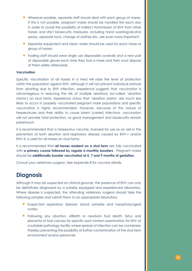- Wherever possible, separate staff should deal with each group of mares. If this is not possible, pregnant mares should be handled first each day in order to avoid the possibility of indirect transmission of EHV from other horses and strict biosecurity measures, including hand washing/alcohol sprays, separate tack, change of clothes etc. are even more important;
- Separate equipment and clean water should be used for each horse or group of horses;
- Foaling staff should wear single use disposable coveralls and a new pair of disposable gloves each time they foal a mare and then must dispose of them safely afterwards.

## **Vaccination**

Specific vaccination of all horses in a herd will raise the level of protection within the population against EHV. Although it will not prevent individual animals from aborting due to EHV infection, experience suggests that vaccination is advantageous in reducing the risk of multiple abortions (so-called 'abortion storms') on stud farms. Experience shows that 'abortion storms' are much less likely to occur in properly vaccinated pregnant mare populations and specific vaccination is highly recommended. However, because of the nature of herpesviruses and their ability to cause latent (carrier) infections, vaccination will not provide total protection, so good management and biosecurity remain paramount.

It is recommended that a herpesvirus vaccine, licensed for use as an aid in the prevention of both abortion and respiratory disease caused by EHV-1 and/or EHV-4, is used for all horses on stud farms.

It is recommended that **all horses resident on a stud farm** are fully vaccinated with **a primary course followed by regular 6-monthly boosters**. Pregnant mares should be **additionally booster vaccinated at 5, 7 and 9 months of gestation**.

Consult your veterinary surgeon. See Appendix 8 for vaccine details.

# **Diagnosis**

Although it may be suspected on clinical grounds, the presence of EHV can only be definitively diagnosed by a suitably equipped and experienced laboratory. Where disease is suspected, the attending veterinary surgeon should take the following samples and submit them to an appropriate laboratory:

- Suspected respiratory disease: blood samples and nasopharyngeal swabs;
- Following any abortion, stillbirth or newborn foal death: fetus and placenta or foal carcass for specific post mortem examination for EHV at a suitable pathology facility where spread of infection can be contained, thereby preventing the possibility of further contamination of the stud farm environment and/or personnel;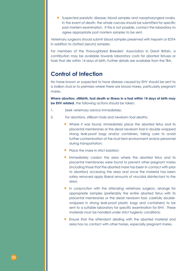• Suspected paralytic disease: blood samples and nasopharyngeal swabs. In the event of death, the whole carcass should be submitted for specific post mortem examination. If this is not possible, contact the laboratory to agree appropriate post mortem samples to be sent.

Veterinary surgeons should submit blood samples preserved with heparin or EDTA in addition to clotted (serum) samples.

For members of the Thoroughbred Breeders' Association in Great Britain, a contribution may be available towards laboratory costs for aborted fetuses or foals that die within 14 days of birth. Further details are available from the TBA.

# **Control of Infection**

No horse known or suspected to have disease caused by EHV should be sent to a stallion stud or to premises where there are brood mares, particularly pregnant mares.

**Where abortion, stillbirth, foal death or illness in a foal within 14 days of birth may be EHV related**, the following actions should be taken:

- 1. Seek veterinary advice immediately;
- 2. For abortions, stillborn foals and newborn foal deaths:
	- Where it was found, immediately place the aborted fetus and its placental membranes or the dead newborn foal in double wrapped strong leak-proof bags and/or containers, taking care to avoid further contamination of the stud farm environment and/or personnel during transportation;
	- Place the mare in strict isolation:
	- Immediately cordon the area where the aborted fetus and its placental membranes were found to prevent other pregnant mares (including those that the aborted mare has been in contact with prior to abortion) accessing the area and once the material has been safely removed apply liberal amounts of virucidal disinfectant to the area;
	- In conjunction with the attending veterinary surgeon, arrange for appropriate samples (preferably the entire aborted fetus with its placental membranes or the dead newborn foal, carefully doublewrapped in strong leak-proof plastic bags and containers) to be sent to a suitable laboratory for specific examination for EHV. These materials must be handled under strict hygienic conditions;
	- Ensure that the attendant dealing with the aborted material and area has no contact with other horses, especially pregnant mares.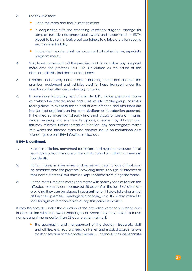#### 3. For sick, live foals:

- Place the mare and foal in strict isolation:
- In conjunction with the attending veterinary surgeon, arrange for samples (usually nasopharyngeal swabs and heparinised or EDTA blood) to be sent in leak-proof containers to a laboratory for specific examination for EHV;
- Ensure that the attendant has no contact with other horses, especially pregnant mares.
- 4. Stop horse movements off the premises and do not allow any pregnant mare onto the premises until EHV is excluded as the cause of the abortion, stillbirth, foal death or foal illness;
- 5. Disinfect and destroy contaminated bedding; clean and disinfect the premises, equipment and vehicles used for horse transport under the direction of the attending veterinary surgeon;
- 6. If preliminary laboratory results indicate EHV, divide pregnant mares with which the infected mare had contact into smaller groups of similar foaling dates to minimise the spread of any infection and turn them out into isolated paddocks on the same studfarm as the abortion occurred. If the infected mare was already in a small group of pregnant mares, divide the group into even smaller groups, as some may still abort and this may minimise further spread of infection. Any non-pregnant mares with which the infected mare had contact should be maintained as a 'closed' group until EHV infection is ruled out.

#### **If EHV is confirmed:**

- 1. Maintain isolation, movement restrictions and hygiene measures for at least 28 days from the date of the last EHV abortion, stillbirth or newborn foal death.
- 2. Barren mares, maiden mares and mares with healthy foals at foot, can be admitted onto the premises (providing there is no sign of infection at their home premises) but must be kept separate from pregnant mares.
- 3. Barren mares, maiden mares and mares with healthy foals at foot on the affected premises can be moved 28 days after the last EHV abortion, providing they can be placed in quarantine for 14 days following arrival at their new premises. Serological monitoring at a 10-14 day interval to look for signs of seroconversion during this period is advised.

It may be possible, under the direction of the attending veterinary surgeon and in consultation with stud owners/managers of where they may move, to move non-pregnant mares earlier than 28 days e.g. for mating if:

> • The geography and management of the studfarm (separate staff and utilities, e.g. tractors, feed deliveries and muck disposals) allows for strict isolation of the aborted mare(s). This should include separate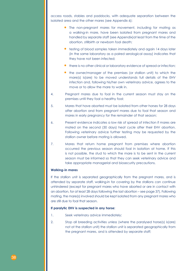access roads, stables and paddocks, with adequate separation between the isolated area and the other mares (see Appendix 6);

- The non-pregnant mares for movement, including for mating as a walking-in mare, have been isolated from pregnant mares and handled by separate staff (see Appendix)at least from the time of the abortion, stillbirth or newborn foal death;
- testing of blood samples taken immediately and again 14 days later (in the same laboratory as a paired serological assay) indicates that they have not been infected;
- there is no other clinical or laboratory evidence of spread or infection;
- the owner/manager of the premises (or stallion unit) to which the mare(s) is(are) to be moved understands full details of the EHV infection and, following his/her own veterinary advice, agrees to the move or to allow the mare to walk in.
- 4. Pregnant mares due to foal in the current season must stay on the premises until they foal a healthy foal;
- 5. Mares that have aborted must be isolated from other horses for 28 days after abortion and from pregnant mares due to foal that season and mares in early pregnancy for the remainder of that season;
- 6. Present evidence indicates a low risk of spread of infection if mares are mated on the second (30 days) heat cycle after their EHV abortion. Following veterinary advice further testing may be requested by the stallion owner before mating is allowed.
- 7. Mares that return home pregnant from premises where abortion occurred the previous season should foal in isolation at home. If this is not possible, the stud to which the mare is to be sent in the current season must be informed so that they can seek veterinary advice and take appropriate managerial and biosecurity precautions.

## **Walking-in mares**

If the stallion unit is separated geographically from the pregnant mares, and is attended by separate staff, walking-in for covering by the stallions can continue unhindered (except for pregnant mares who have aborted or are in contact with an abortion, for at least 28 days following the last abortion – see page 37). Following mating, the mare(s) involved should be kept isolated from any pregnant mares who are still due to foal that season.

#### **If paralytic EHV is suspected in any horse:**

- 1. Seek veterinary advice immediately;
- 2. Stop all breeding activities unless (where the paralysed horse(s) is(are) not at the stallion unit) the stallion unit is separated geographically from the pregnant mares, and is attended by separate staff;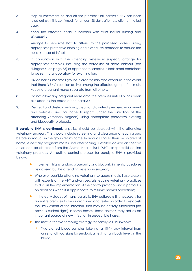- 3. Stop all movement on and off the premises until paralytic EHV has been ruled out or, if it is confirmed, for at least 28 days after resolution of the last case;
- 4. Keep the affected horse in isolation with strict barrier nursing and biosecurity;
- 5. Arrange for separate staff to attend to the paralysed horse(s), using appropriate protective clothing and biosecurity protocols to reduce the risk of spread of infection;
- 6. In conjunction with the attending veterinary surgeon, arrange for appropriate samples, including the carcasses of dead animals (see 'Diagnosis' on page 35) or appropriate samples in leak-proof containers to be sent to a laboratory for examination;
- 7. Divide horses into small groups in order to minimise exposure in the event that there is EHV infection active among the affected group of animals, keeping pregnant mares separate from all others;
- 8. Do not allow any pregnant mare onto the premises until EHV has been excluded as the cause of the paralysis;
- 9. Disinfect and destroy bedding; clean and disinfect premises, equipment and vehicles used for horse transport, under the direction of the attending veterinary surgeon), using appropriate protective clothing and biosecurity protocols.

**If paralytic EHV is confirmed**, a policy should be decided with the attending veterinary surgeon. This should include screening and clearance of each group before individuals in the group return home. Individuals should then be isolated at home, especially pregnant mares until after foaling. Detailed advice on specific cases can be obtained from the Animal Health Trust (AHT), or specialist equine veterinary practices. An outline control protocol for paralytic EHV is provided below:

- Implement high standard biosecurity and biocontainment procedures as advised by the attending veterinary surgeon;
- Wherever possible attending veterinary surgeons should liaise closely with experts at the AHT and/or specialist equine veterinary practices to discuss the implementation of the control protocol and in particular on decisions when it is appropriate to resume normal operations;
- In the early stages of many paralytic EHV outbreaks it is necessary for an entire premises to be quarantined and tested in order to establish the likely extent of the infection, that may be entirely subclinical (no obvious clinical signs) in some horses. These animals may act as an important source of new infection in susceptible horses;
- The most effective sampling strategy for paralytic EHV involves:
	- Two clotted blood samples taken at a 10-14 day interval from onset of clinical signs for serological testing (antibody levels in the blood),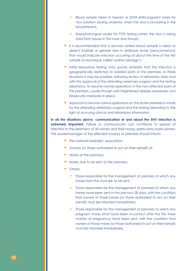- Blood sample taken in heparin or EDTA anticoagulant tubes for virus isolation (during viraemia, when the virus is circulating in the bloodstream),
- Nasopharyngeal swabs for PCR testing (when the virus is being shed from tissues in the nose and throat);
- It is recommended that a second clotted blood sample is taken to detect fourfold or greater rises in antibody levels (seroconversion) that would indicate infection occurring at about the time of the first sample (a technique called 'paired serology');
- Initial laboratory testing may quickly establish that the infection is geographically restricted to isolated parts of the premises. In these situations it may be possible, following review of laboratory data and with the approval of the attending veterinary surgeon and the testing laboratory, to resume normal operations in the non-affected parts of the premises, usually though with heightened disease awareness and biosecurity measures in place.
- Approval to resume normal operations on the entire premises is made by the attending veterinary surgeon and the testing laboratory in the light of accruing clinical and laboratory information.

**In all the situations above, communication of and about the EHV infection is extremely important**. Failure to communicate can contribute to spread of infection to the detriment of all owners and their horses, particularly mare owners. The owner/manager of the affected horse(s) or premises should inform:

- The national breeders' association:
- Owners (or those authorised to act on their behalf) of:
- Mares at the premises;
- Mares due to be sent to the premises;
- Others:
	- Those responsible for the management of premises to which any horses from the stud are to be sent;
	- Those responsible for the management of premises to which any horses have been sent in the previous 28 days, with the condition that owners of those horses (or those authorised to act on their behalf) must be informed immediately;
	- Those responsible for the management of premises to which any pregnant mares (that have been in-contact after the first three months of pregnancy) have been sent, with the condition that owners of those mares (or those authorised to act on their behalf) must be informed immediately.